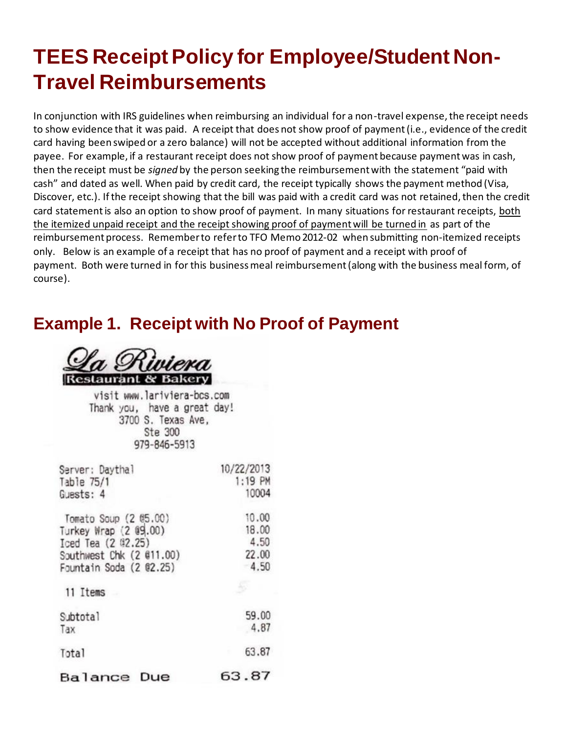## **TEES Receipt Policy for Employee/Student Non-Travel Reimbursements**

In conjunction with IRS guidelines when reimbursing an individual for a non-travel expense, the receipt needs to show evidence that it was paid. A receipt that does not show proof of payment (i.e., evidence of the credit card having been swiped or a zero balance) will not be accepted without additional information from the payee. For example, if a restaurant receipt does not show proof of payment because payment was in cash, then the receipt must be *signed* by the person seeking the reimbursement with the statement "paid with cash" and dated as well. When paid by credit card, the receipt typically shows the payment method (Visa, Discover, etc.). If the receipt showing that the bill was paid with a credit card was not retained, then the credit card statementis also an option to show proof of payment. In many situations for restaurant receipts, both the itemized unpaid receipt and the receipt showing proof of payment will be turned in as part of the reimbursement process. Remember to refer to TFO Memo 2012-02 when submitting non-itemized receipts only. Below is an example of a receipt that has no proof of payment and a receipt with proof of payment. Both were turned in for this business meal reimbursement (along with the business meal form, of course).

## **Example 1. Receipt with No Proof of Payment**



visit www.lariviera-bcs.com Thank you, have a great day! 3700 S. Texas Ave. Ste 300 979-846-5913

| Server: Daythal          | 10/22/2013 |
|--------------------------|------------|
| Table 75/1               | 1:19 PM    |
| Guests: 4                | 10004      |
| Tomato Soup (2 05.00)    | 10.00      |
| Turkey Wrap (2 09.00)    | 18.00      |
| Iced Tea (2 02.25)       | 4.50       |
| Southwest Chk (2 @11.00) | 22.00      |
| Fountain Soda (2 02.25)  | 4.50       |
| 11 Items                 |            |
| Subtotal                 | 59.00      |
| Tax                      | 4.87       |
| Total                    | 63.87      |
| Balance<br>Due           | 63.87      |